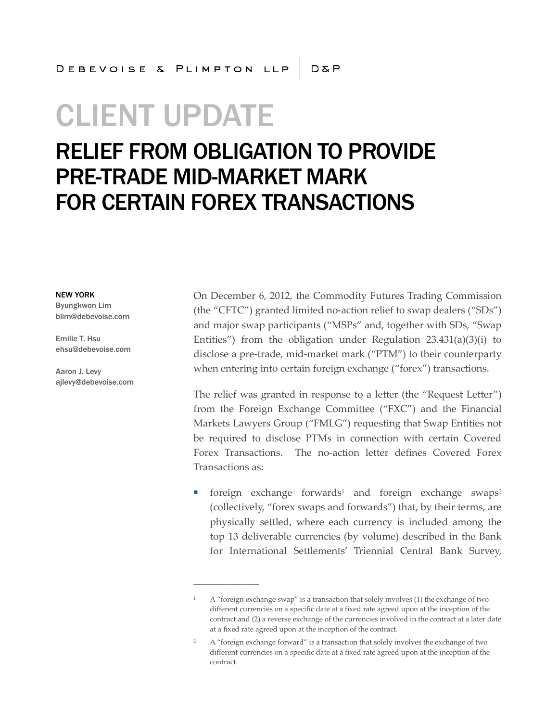# CLIENT UPDATE

### RELIEF FROM OBLIGATION TO PROVIDE PRE-TRADE MID-MARKET MARK FOR CERTAIN FOREX TRANSACTIONS

**\_\_\_\_\_\_\_\_\_\_\_\_\_\_\_\_\_\_**

#### NEW YORK

Byungkwon Lim blim@debevoise.com

Emilie T. Hsu ehsu@debevoise.com

Aaron J. Levy ajlevy@debevoise.com On December 6, 2012, the Commodity Futures Trading Commission (the "CFTC") granted limited no-action relief to swap dealers ("SDs") and major swap participants ("MSPs" and, together with SDs, "Swap Entities") from the obligation under Regulation 23.431(a)(3)(i) to disclose a pre-trade, mid-market mark ("PTM") to their counterparty when entering into certain foreign exchange ("forex") transactions.

The relief was granted in response to a letter (the "Request Letter") from the Foreign Exchange Committee ("FXC") and the Financial Markets Lawyers Group ("FMLG") requesting that Swap Entities not be required to disclose PTMs in connection with certain Covered Forex Transactions. The no-action letter defines Covered Forex Transactions as:

foreign exchange forwards<sup>1</sup> and foreign exchange swaps<sup>2</sup> (collectively, "forex swaps and forwards") that, by their terms, are physically settled, where each currency is included among the top 13 deliverable currencies (by volume) described in the Bank for International Settlements' Triennial Central Bank Survey,

<sup>1</sup> A "foreign exchange swap" is a transaction that solely involves (1) the exchange of two different currencies on a specific date at a fixed rate agreed upon at the inception of the contract and (2) a reverse exchange of the currencies involved in the contract at a later date at a fixed rate agreed upon at the inception of the contract.

<sup>&</sup>lt;sup>2</sup> A "foreign exchange forward" is a transaction that solely involves the exchange of two different currencies on a specific date at a fixed rate agreed upon at the inception of the contract.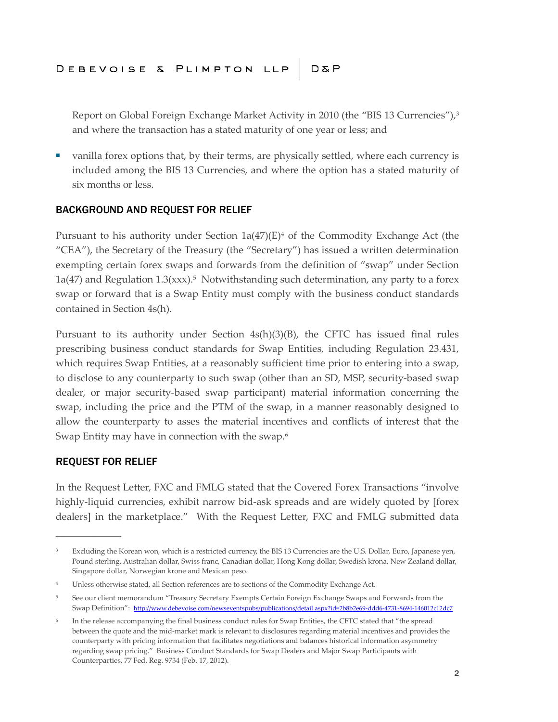Report on Global Foreign Exchange Market Activity in 2010 (the "BIS 13 Currencies"),<sup>3</sup> and where the transaction has a stated maturity of one year or less; and

■ vanilla forex options that, by their terms, are physically settled, where each currency is included among the BIS 13 Currencies, and where the option has a stated maturity of six months or less.

### BACKGROUND AND REQUEST FOR RELIEF

Pursuant to his authority under Section  $1a(47)(E)^4$  of the Commodity Exchange Act (the "CEA"), the Secretary of the Treasury (the "Secretary") has issued a written determination exempting certain forex swaps and forwards from the definition of "swap" under Section  $1a(47)$  and Regulation  $1.3(xxx)$ .<sup>5</sup> Notwithstanding such determination, any party to a forex swap or forward that is a Swap Entity must comply with the business conduct standards contained in Section 4s(h).

Pursuant to its authority under Section  $4s(h)(3)(B)$ , the CFTC has issued final rules prescribing business conduct standards for Swap Entities, including Regulation 23.431, which requires Swap Entities, at a reasonably sufficient time prior to entering into a swap, to disclose to any counterparty to such swap (other than an SD, MSP, security-based swap dealer, or major security-based swap participant) material information concerning the swap, including the price and the PTM of the swap, in a manner reasonably designed to allow the counterparty to asses the material incentives and conflicts of interest that the Swap Entity may have in connection with the swap.<sup>6</sup>

### REQUEST FOR RELIEF

**\_\_\_\_\_\_\_\_\_\_\_\_\_\_\_\_\_\_**

In the Request Letter, FXC and FMLG stated that the Covered Forex Transactions "involve highly-liquid currencies, exhibit narrow bid-ask spreads and are widely quoted by [forex dealers] in the marketplace." With the Request Letter, FXC and FMLG submitted data

<sup>&</sup>lt;sup>3</sup> Excluding the Korean won, which is a restricted currency, the BIS 13 Currencies are the U.S. Dollar, Euro, Japanese yen, Pound sterling, Australian dollar, Swiss franc, Canadian dollar, Hong Kong dollar, Swedish krona, New Zealand dollar, Singapore dollar, Norwegian krone and Mexican peso.

<sup>4</sup> Unless otherwise stated, all Section references are to sections of the Commodity Exchange Act.

<sup>5</sup> See our client memorandum "Treasury Secretary Exempts Certain Foreign Exchange Swaps and Forwards from the Swap Definition": http://www.debevoise.com/newseventspubs/publications/detail.aspx?id=2b8b2e69-ddd6-4731-8694-146012c12dc7

<sup>6</sup> In the release accompanying the final business conduct rules for Swap Entities, the CFTC stated that "the spread between the quote and the mid-market mark is relevant to disclosures regarding material incentives and provides the counterparty with pricing information that facilitates negotiations and balances historical information asymmetry regarding swap pricing." Business Conduct Standards for Swap Dealers and Major Swap Participants with Counterparties, 77 Fed. Reg. 9734 (Feb. 17, 2012).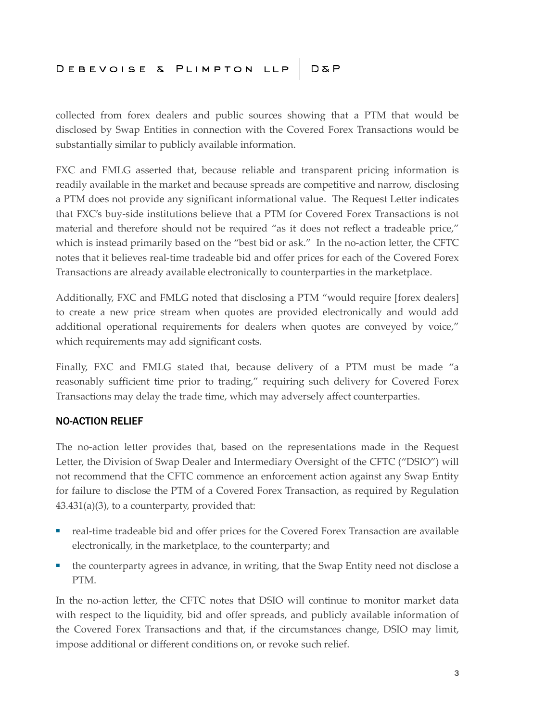## DEBEVOISE & PLIMPTON LLP D&P

collected from forex dealers and public sources showing that a PTM that would be disclosed by Swap Entities in connection with the Covered Forex Transactions would be substantially similar to publicly available information.

FXC and FMLG asserted that, because reliable and transparent pricing information is readily available in the market and because spreads are competitive and narrow, disclosing a PTM does not provide any significant informational value. The Request Letter indicates that FXC's buy-side institutions believe that a PTM for Covered Forex Transactions is not material and therefore should not be required "as it does not reflect a tradeable price," which is instead primarily based on the "best bid or ask." In the no-action letter, the CFTC notes that it believes real-time tradeable bid and offer prices for each of the Covered Forex Transactions are already available electronically to counterparties in the marketplace.

Additionally, FXC and FMLG noted that disclosing a PTM "would require [forex dealers] to create a new price stream when quotes are provided electronically and would add additional operational requirements for dealers when quotes are conveyed by voice," which requirements may add significant costs.

Finally, FXC and FMLG stated that, because delivery of a PTM must be made "a reasonably sufficient time prior to trading," requiring such delivery for Covered Forex Transactions may delay the trade time, which may adversely affect counterparties.

#### NO-ACTION RELIEF

The no-action letter provides that, based on the representations made in the Request Letter, the Division of Swap Dealer and Intermediary Oversight of the CFTC ("DSIO") will not recommend that the CFTC commence an enforcement action against any Swap Entity for failure to disclose the PTM of a Covered Forex Transaction, as required by Regulation 43.431(a)(3), to a counterparty, provided that:

- real-time tradeable bid and offer prices for the Covered Forex Transaction are available electronically, in the marketplace, to the counterparty; and
- the counterparty agrees in advance, in writing, that the Swap Entity need not disclose a PTM.

In the no-action letter, the CFTC notes that DSIO will continue to monitor market data with respect to the liquidity, bid and offer spreads, and publicly available information of the Covered Forex Transactions and that, if the circumstances change, DSIO may limit, impose additional or different conditions on, or revoke such relief.